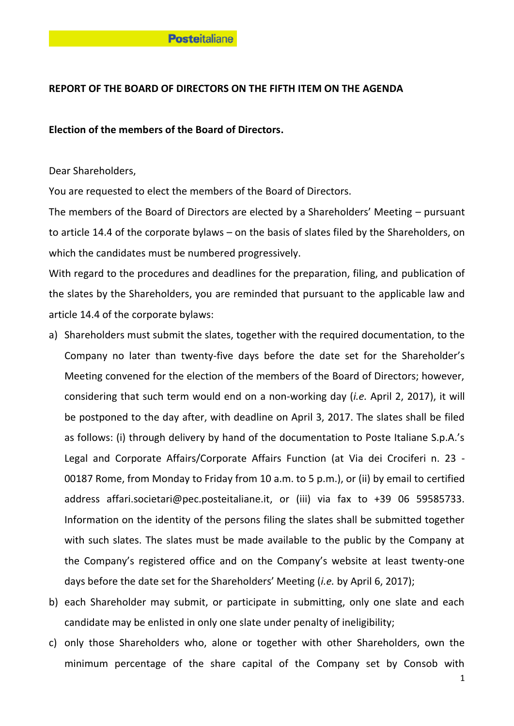# **REPORT OF THE BOARD OF DIRECTORS ON THE FIFTH ITEM ON THE AGENDA**

## **Election of the members of the Board of Directors.**

Dear Shareholders,

You are requested to elect the members of the Board of Directors.

The members of the Board of Directors are elected by a Shareholders' Meeting – pursuant to article 14.4 of the corporate bylaws – on the basis of slates filed by the Shareholders, on which the candidates must be numbered progressively.

With regard to the procedures and deadlines for the preparation, filing, and publication of the slates by the Shareholders, you are reminded that pursuant to the applicable law and article 14.4 of the corporate bylaws:

- a) Shareholders must submit the slates, together with the required documentation, to the Company no later than twenty-five days before the date set for the Shareholder's Meeting convened for the election of the members of the Board of Directors; however, considering that such term would end on a non-working day (*i.e.* April 2, 2017), it will be postponed to the day after, with deadline on April 3, 2017. The slates shall be filed as follows: (i) through delivery by hand of the documentation to Poste Italiane S.p.A.'s Legal and Corporate Affairs/Corporate Affairs Function (at Via dei Crociferi n. 23 - 00187 Rome, from Monday to Friday from 10 a.m. to 5 p.m.), or (ii) by email to certified address affari.societari@pec.posteitaliane.it, or (iii) via fax to +39 06 59585733. Information on the identity of the persons filing the slates shall be submitted together with such slates. The slates must be made available to the public by the Company at the Company's registered office and on the Company's website at least twenty-one days before the date set for the Shareholders' Meeting (*i.e.* by April 6, 2017);
- b) each Shareholder may submit, or participate in submitting, only one slate and each candidate may be enlisted in only one slate under penalty of ineligibility;
- c) only those Shareholders who, alone or together with other Shareholders, own the minimum percentage of the share capital of the Company set by Consob with

1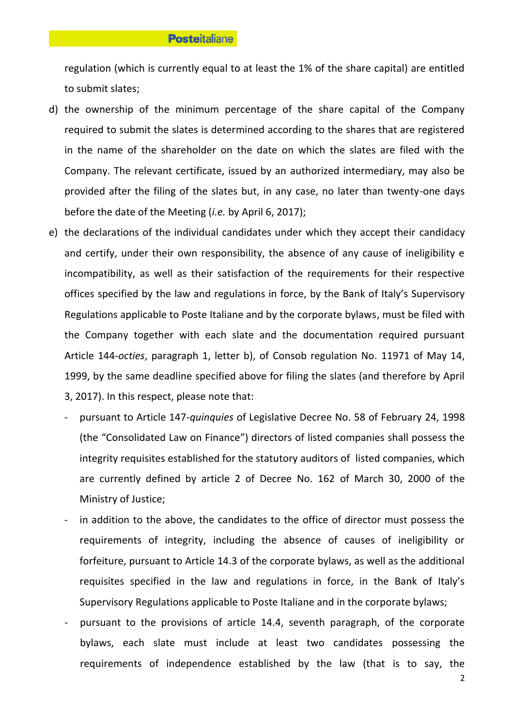regulation (which is currently equal to at least the 1% of the share capital) are entitled to submit slates;

- d) the ownership of the minimum percentage of the share capital of the Company required to submit the slates is determined according to the shares that are registered in the name of the shareholder on the date on which the slates are filed with the Company. The relevant certificate, issued by an authorized intermediary, may also be provided after the filing of the slates but, in any case, no later than twenty-one days before the date of the Meeting (*i.e.* by April 6, 2017);
- e) the declarations of the individual candidates under which they accept their candidacy and certify, under their own responsibility, the absence of any cause of ineligibility e incompatibility, as well as their satisfaction of the requirements for their respective offices specified by the law and regulations in force, by the Bank of Italy's Supervisory Regulations applicable to Poste Italiane and by the corporate bylaws, must be filed with the Company together with each slate and the documentation required pursuant Article 144-*octies*, paragraph 1, letter b), of Consob regulation No. 11971 of May 14, 1999, by the same deadline specified above for filing the slates (and therefore by April 3, 2017). In this respect, please note that:
	- pursuant to Article 147-*quinquies* of Legislative Decree No. 58 of February 24, 1998 (the "Consolidated Law on Finance") directors of listed companies shall possess the integrity requisites established for the statutory auditors of listed companies, which are currently defined by article 2 of Decree No. 162 of March 30, 2000 of the Ministry of Justice;
	- in addition to the above, the candidates to the office of director must possess the requirements of integrity, including the absence of causes of ineligibility or forfeiture, pursuant to Article 14.3 of the corporate bylaws, as well as the additional requisites specified in the law and regulations in force, in the Bank of Italy's Supervisory Regulations applicable to Poste Italiane and in the corporate bylaws;
	- pursuant to the provisions of article 14.4, seventh paragraph, of the corporate bylaws, each slate must include at least two candidates possessing the requirements of independence established by the law (that is to say, the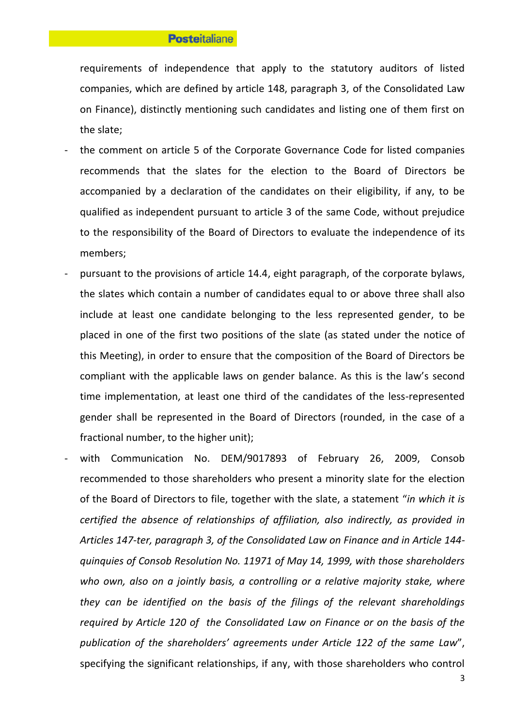requirements of independence that apply to the statutory auditors of listed companies, which are defined by article 148, paragraph 3, of the Consolidated Law on Finance), distinctly mentioning such candidates and listing one of them first on the slate;

- the comment on article 5 of the Corporate Governance Code for listed companies recommends that the slates for the election to the Board of Directors be accompanied by a declaration of the candidates on their eligibility, if any, to be qualified as independent pursuant to article 3 of the same Code, without prejudice to the responsibility of the Board of Directors to evaluate the independence of its members;
- pursuant to the provisions of article 14.4, eight paragraph, of the corporate bylaws, the slates which contain a number of candidates equal to or above three shall also include at least one candidate belonging to the less represented gender, to be placed in one of the first two positions of the slate (as stated under the notice of this Meeting), in order to ensure that the composition of the Board of Directors be compliant with the applicable laws on gender balance. As this is the law's second time implementation, at least one third of the candidates of the less-represented gender shall be represented in the Board of Directors (rounded, in the case of a fractional number, to the higher unit);
- with Communication No. DEM/9017893 of February 26, 2009, Consob recommended to those shareholders who present a minority slate for the election of the Board of Directors to file, together with the slate, a statement "*in which it is certified the absence of relationships of affiliation, also indirectly, as provided in Articles 147-ter, paragraph 3, of the Consolidated Law on Finance and in Article 144 quinquies of Consob Resolution No. 11971 of May 14, 1999, with those shareholders who own, also on a jointly basis, a controlling or a relative majority stake, where they can be identified on the basis of the filings of the relevant shareholdings required by Article 120 of the Consolidated Law on Finance or on the basis of the publication of the shareholders' agreements under Article 122 of the same Law*", specifying the significant relationships, if any, with those shareholders who control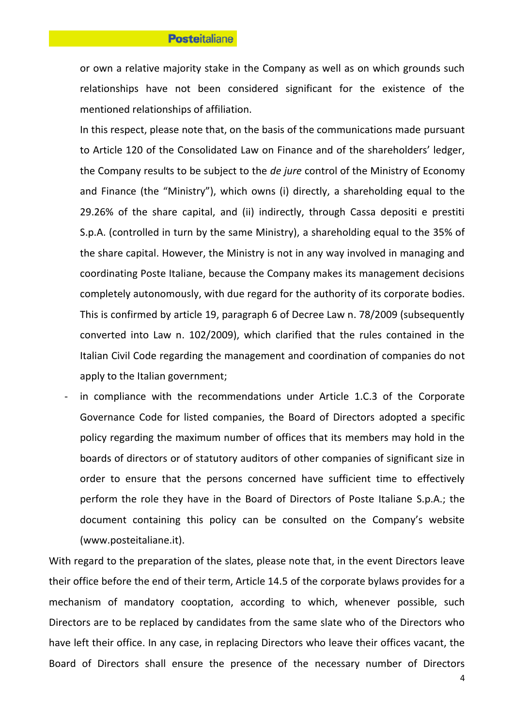or own a relative majority stake in the Company as well as on which grounds such relationships have not been considered significant for the existence of the mentioned relationships of affiliation.

In this respect, please note that, on the basis of the communications made pursuant to Article 120 of the Consolidated Law on Finance and of the shareholders' ledger, the Company results to be subject to the *de jure* control of the Ministry of Economy and Finance (the "Ministry"), which owns (i) directly, a shareholding equal to the 29.26% of the share capital, and (ii) indirectly, through Cassa depositi e prestiti S.p.A. (controlled in turn by the same Ministry), a shareholding equal to the 35% of the share capital. However, the Ministry is not in any way involved in managing and coordinating Poste Italiane, because the Company makes its management decisions completely autonomously, with due regard for the authority of its corporate bodies. This is confirmed by article 19, paragraph 6 of Decree Law n. 78/2009 (subsequently converted into Law n. 102/2009), which clarified that the rules contained in the Italian Civil Code regarding the management and coordination of companies do not apply to the Italian government;

in compliance with the recommendations under Article 1.C.3 of the Corporate Governance Code for listed companies, the Board of Directors adopted a specific policy regarding the maximum number of offices that its members may hold in the boards of directors or of statutory auditors of other companies of significant size in order to ensure that the persons concerned have sufficient time to effectively perform the role they have in the Board of Directors of Poste Italiane S.p.A.; the document containing this policy can be consulted on the Company's website (www.posteitaliane.it).

With regard to the preparation of the slates, please note that, in the event Directors leave their office before the end of their term, Article 14.5 of the corporate bylaws provides for a mechanism of mandatory cooptation, according to which, whenever possible, such Directors are to be replaced by candidates from the same slate who of the Directors who have left their office. In any case, in replacing Directors who leave their offices vacant, the Board of Directors shall ensure the presence of the necessary number of Directors

4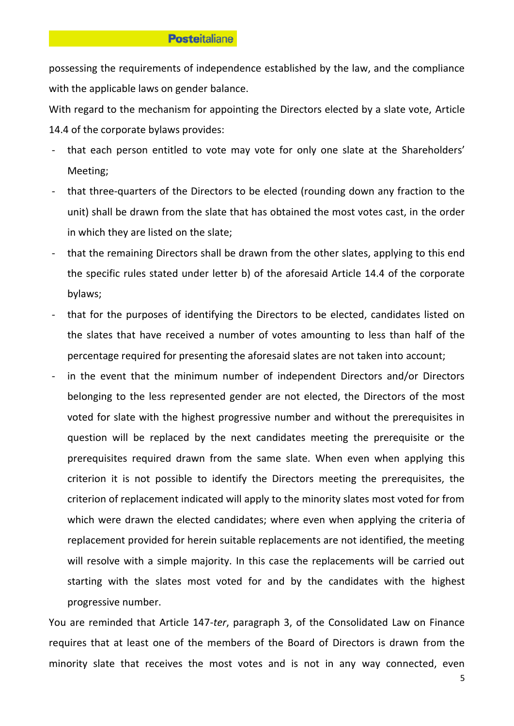possessing the requirements of independence established by the law, and the compliance with the applicable laws on gender balance.

With regard to the mechanism for appointing the Directors elected by a slate vote, Article 14.4 of the corporate bylaws provides:

- that each person entitled to vote may vote for only one slate at the Shareholders' Meeting;
- that three-quarters of the Directors to be elected (rounding down any fraction to the unit) shall be drawn from the slate that has obtained the most votes cast, in the order in which they are listed on the slate;
- that the remaining Directors shall be drawn from the other slates, applying to this end the specific rules stated under letter b) of the aforesaid Article 14.4 of the corporate bylaws;
- that for the purposes of identifying the Directors to be elected, candidates listed on the slates that have received a number of votes amounting to less than half of the percentage required for presenting the aforesaid slates are not taken into account;
- in the event that the minimum number of independent Directors and/or Directors belonging to the less represented gender are not elected, the Directors of the most voted for slate with the highest progressive number and without the prerequisites in question will be replaced by the next candidates meeting the prerequisite or the prerequisites required drawn from the same slate. When even when applying this criterion it is not possible to identify the Directors meeting the prerequisites, the criterion of replacement indicated will apply to the minority slates most voted for from which were drawn the elected candidates; where even when applying the criteria of replacement provided for herein suitable replacements are not identified, the meeting will resolve with a simple majority. In this case the replacements will be carried out starting with the slates most voted for and by the candidates with the highest progressive number.

You are reminded that Article 147-*ter*, paragraph 3, of the Consolidated Law on Finance requires that at least one of the members of the Board of Directors is drawn from the minority slate that receives the most votes and is not in any way connected, even